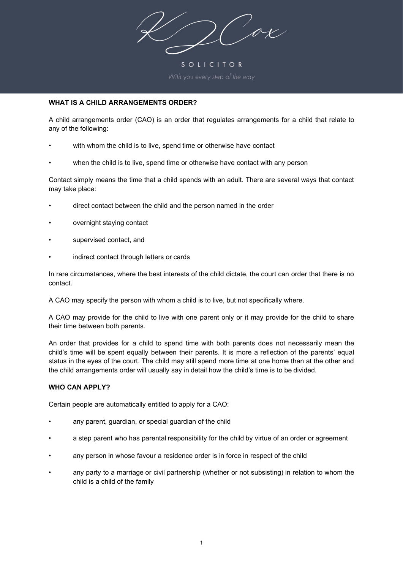$\sigma$ 

SOLICITOR

# **WHAT IS A CHILD ARRANGEMENTS ORDER?**

A child arrangements order (CAO) is an order that regulates arrangements for a child that relate to any of the following:

- with whom the child is to live, spend time or otherwise have contact
- when the child is to live, spend time or otherwise have contact with any person

Contact simply means the time that a child spends with an adult. There are several ways that contact may take place:

- direct contact between the child and the person named in the order
- overnight staying contact
- supervised contact, and
- indirect contact through letters or cards

In rare circumstances, where the best interests of the child dictate, the court can order that there is no contact.

A CAO may specify the person with whom a child is to live, but not specifically where.

A CAO may provide for the child to live with one parent only or it may provide for the child to share their time between both parents.

An order that provides for a child to spend time with both parents does not necessarily mean the child's time will be spent equally between their parents. It is more a reflection of the parents' equal status in the eyes of the court. The child may still spend more time at one home than at the other and the child arrangements order will usually say in detail how the child's time is to be divided.

#### **WHO CAN APPLY?**

Certain people are automatically entitled to apply for a CAO:

- any parent, guardian, or special guardian of the child
- a step parent who has parental responsibility for the child by virtue of an order or agreement
- any person in whose favour a residence order is in force in respect of the child
- any party to a marriage or civil partnership (whether or not subsisting) in relation to whom the child is a child of the family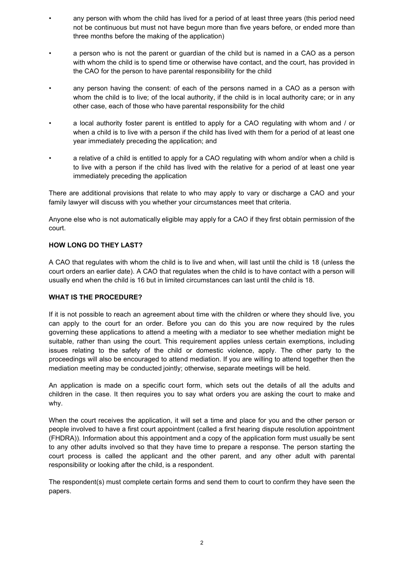- any person with whom the child has lived for a period of at least three years (this period need not be continuous but must not have begun more than five years before, or ended more than three months before the making of the application)
- a person who is not the parent or guardian of the child but is named in a CAO as a person with whom the child is to spend time or otherwise have contact, and the court, has provided in the CAO for the person to have parental responsibility for the child
- any person having the consent: of each of the persons named in a CAO as a person with whom the child is to live; of the local authority, if the child is in local authority care; or in any other case, each of those who have parental responsibility for the child
- a local authority foster parent is entitled to apply for a CAO regulating with whom and / or when a child is to live with a person if the child has lived with them for a period of at least one year immediately preceding the application; and
- a relative of a child is entitled to apply for a CAO regulating with whom and/or when a child is to live with a person if the child has lived with the relative for a period of at least one year immediately preceding the application

There are additional provisions that relate to who may apply to vary or discharge a CAO and your family lawyer will discuss with you whether your circumstances meet that criteria.

Anyone else who is not automatically eligible may apply for a CAO if they first obtain permission of the court.

# **HOW LONG DO THEY LAST?**

A CAO that regulates with whom the child is to live and when, will last until the child is 18 (unless the court orders an earlier date). A CAO that regulates when the child is to have contact with a person will usually end when the child is 16 but in limited circumstances can last until the child is 18.

# **WHAT IS THE PROCEDURE?**

If it is not possible to reach an agreement about time with the children or where they should live, you can apply to the court for an order. Before you can do this you are now required by the rules governing these applications to attend a meeting with a mediator to see whether mediation might be suitable, rather than using the court. This requirement applies unless certain exemptions, including issues relating to the safety of the child or domestic violence, apply. The other party to the proceedings will also be encouraged to attend mediation. If you are willing to attend together then the mediation meeting may be conducted jointly; otherwise, separate meetings will be held.

An application is made on a specific court form, which sets out the details of all the adults and children in the case. It then requires you to say what orders you are asking the court to make and why.

When the court receives the application, it will set a time and place for you and the other person or people involved to have a first court appointment (called a first hearing dispute resolution appointment (FHDRA)). Information about this appointment and a copy of the application form must usually be sent to any other adults involved so that they have time to prepare a response. The person starting the court process is called the applicant and the other parent, and any other adult with parental responsibility or looking after the child, is a respondent.

The respondent(s) must complete certain forms and send them to court to confirm they have seen the papers.